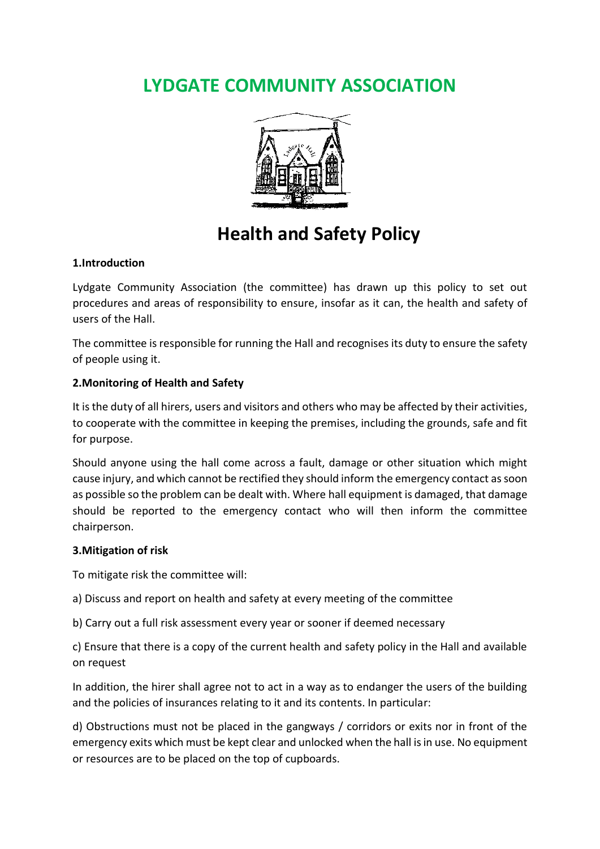# **LYDGATE COMMUNITY ASSOCIATION**



# **Health and Safety Policy**

# **1.Introduction**

Lydgate Community Association (the committee) has drawn up this policy to set out procedures and areas of responsibility to ensure, insofar as it can, the health and safety of users of the Hall.

The committee is responsible for running the Hall and recognises its duty to ensure the safety of people using it.

#### **2.Monitoring of Health and Safety**

It is the duty of all hirers, users and visitors and others who may be affected by their activities, to cooperate with the committee in keeping the premises, including the grounds, safe and fit for purpose.

Should anyone using the hall come across a fault, damage or other situation which might cause injury, and which cannot be rectified they should inform the emergency contact as soon as possible so the problem can be dealt with. Where hall equipment is damaged, that damage should be reported to the emergency contact who will then inform the committee chairperson.

#### **3.Mitigation of risk**

To mitigate risk the committee will:

a) Discuss and report on health and safety at every meeting of the committee

b) Carry out a full risk assessment every year or sooner if deemed necessary

c) Ensure that there is a copy of the current health and safety policy in the Hall and available on request

In addition, the hirer shall agree not to act in a way as to endanger the users of the building and the policies of insurances relating to it and its contents. In particular:

d) Obstructions must not be placed in the gangways / corridors or exits nor in front of the emergency exits which must be kept clear and unlocked when the hall is in use. No equipment or resources are to be placed on the top of cupboards.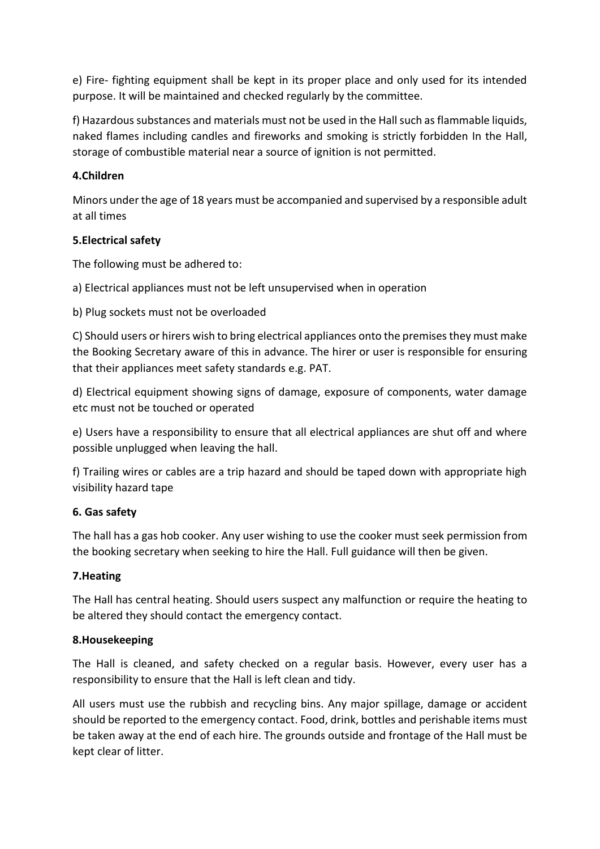e) Fire- fighting equipment shall be kept in its proper place and only used for its intended purpose. It will be maintained and checked regularly by the committee.

f) Hazardous substances and materials must not be used in the Hall such as flammable liquids, naked flames including candles and fireworks and smoking is strictly forbidden In the Hall, storage of combustible material near a source of ignition is not permitted.

# **4.Children**

Minors under the age of 18 years must be accompanied and supervised by a responsible adult at all times

# **5.Electrical safety**

The following must be adhered to:

a) Electrical appliances must not be left unsupervised when in operation

b) Plug sockets must not be overloaded

C) Should users or hirers wish to bring electrical appliances onto the premises they must make the Booking Secretary aware of this in advance. The hirer or user is responsible for ensuring that their appliances meet safety standards e.g. PAT.

d) Electrical equipment showing signs of damage, exposure of components, water damage etc must not be touched or operated

e) Users have a responsibility to ensure that all electrical appliances are shut off and where possible unplugged when leaving the hall.

f) Trailing wires or cables are a trip hazard and should be taped down with appropriate high visibility hazard tape

# **6. Gas safety**

The hall has a gas hob cooker. Any user wishing to use the cooker must seek permission from the booking secretary when seeking to hire the Hall. Full guidance will then be given.

# **7.Heating**

The Hall has central heating. Should users suspect any malfunction or require the heating to be altered they should contact the emergency contact.

# **8.Housekeeping**

The Hall is cleaned, and safety checked on a regular basis. However, every user has a responsibility to ensure that the Hall is left clean and tidy.

All users must use the rubbish and recycling bins. Any major spillage, damage or accident should be reported to the emergency contact. Food, drink, bottles and perishable items must be taken away at the end of each hire. The grounds outside and frontage of the Hall must be kept clear of litter.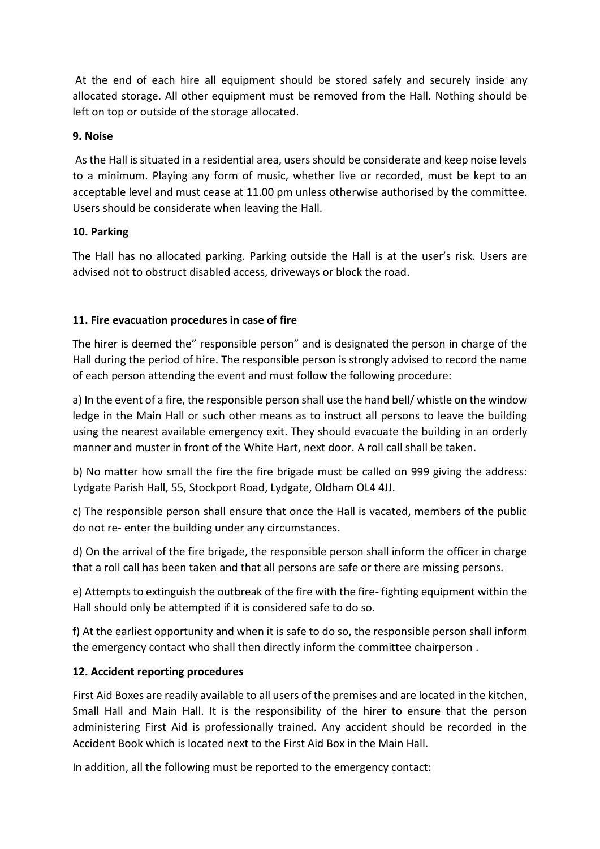At the end of each hire all equipment should be stored safely and securely inside any allocated storage. All other equipment must be removed from the Hall. Nothing should be left on top or outside of the storage allocated.

#### **9. Noise**

As the Hall is situated in a residential area, users should be considerate and keep noise levels to a minimum. Playing any form of music, whether live or recorded, must be kept to an acceptable level and must cease at 11.00 pm unless otherwise authorised by the committee. Users should be considerate when leaving the Hall.

#### **10. Parking**

The Hall has no allocated parking. Parking outside the Hall is at the user's risk. Users are advised not to obstruct disabled access, driveways or block the road.

# **11. Fire evacuation procedures in case of fire**

The hirer is deemed the" responsible person" and is designated the person in charge of the Hall during the period of hire. The responsible person is strongly advised to record the name of each person attending the event and must follow the following procedure:

a) In the event of a fire, the responsible person shall use the hand bell/ whistle on the window ledge in the Main Hall or such other means as to instruct all persons to leave the building using the nearest available emergency exit. They should evacuate the building in an orderly manner and muster in front of the White Hart, next door. A roll call shall be taken.

b) No matter how small the fire the fire brigade must be called on 999 giving the address: Lydgate Parish Hall, 55, Stockport Road, Lydgate, Oldham OL4 4JJ.

c) The responsible person shall ensure that once the Hall is vacated, members of the public do not re- enter the building under any circumstances.

d) On the arrival of the fire brigade, the responsible person shall inform the officer in charge that a roll call has been taken and that all persons are safe or there are missing persons.

e) Attempts to extinguish the outbreak of the fire with the fire- fighting equipment within the Hall should only be attempted if it is considered safe to do so.

f) At the earliest opportunity and when it is safe to do so, the responsible person shall inform the emergency contact who shall then directly inform the committee chairperson .

# **12. Accident reporting procedures**

First Aid Boxes are readily available to all users of the premises and are located in the kitchen, Small Hall and Main Hall. It is the responsibility of the hirer to ensure that the person administering First Aid is professionally trained. Any accident should be recorded in the Accident Book which is located next to the First Aid Box in the Main Hall.

In addition, all the following must be reported to the emergency contact: